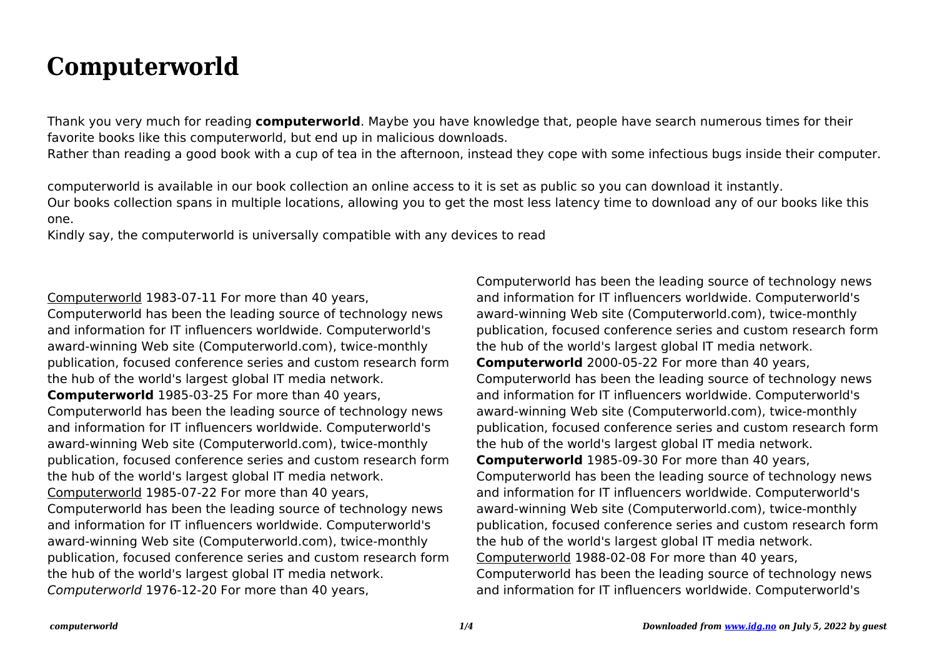## **Computerworld**

Thank you very much for reading **computerworld**. Maybe you have knowledge that, people have search numerous times for their favorite books like this computerworld, but end up in malicious downloads.

Rather than reading a good book with a cup of tea in the afternoon, instead they cope with some infectious bugs inside their computer.

computerworld is available in our book collection an online access to it is set as public so you can download it instantly. Our books collection spans in multiple locations, allowing you to get the most less latency time to download any of our books like this one.

Kindly say, the computerworld is universally compatible with any devices to read

Computerworld 1983-07-11 For more than 40 years, Computerworld has been the leading source of technology news and information for IT influencers worldwide. Computerworld's award-winning Web site (Computerworld.com), twice-monthly publication, focused conference series and custom research form the hub of the world's largest global IT media network. **Computerworld** 1985-03-25 For more than 40 years, Computerworld has been the leading source of technology news and information for IT influencers worldwide. Computerworld's award-winning Web site (Computerworld.com), twice-monthly publication, focused conference series and custom research form the hub of the world's largest global IT media network. Computerworld 1985-07-22 For more than 40 years, Computerworld has been the leading source of technology news and information for IT influencers worldwide. Computerworld's award-winning Web site (Computerworld.com), twice-monthly publication, focused conference series and custom research form the hub of the world's largest global IT media network. Computerworld 1976-12-20 For more than 40 years,

Computerworld has been the leading source of technology news and information for IT influencers worldwide. Computerworld's award-winning Web site (Computerworld.com), twice-monthly publication, focused conference series and custom research form the hub of the world's largest global IT media network. **Computerworld** 2000-05-22 For more than 40 years, Computerworld has been the leading source of technology news and information for IT influencers worldwide. Computerworld's award-winning Web site (Computerworld.com), twice-monthly publication, focused conference series and custom research form the hub of the world's largest global IT media network. **Computerworld** 1985-09-30 For more than 40 years, Computerworld has been the leading source of technology news and information for IT influencers worldwide. Computerworld's award-winning Web site (Computerworld.com), twice-monthly publication, focused conference series and custom research form the hub of the world's largest global IT media network. Computerworld 1988-02-08 For more than 40 years, Computerworld has been the leading source of technology news and information for IT influencers worldwide. Computerworld's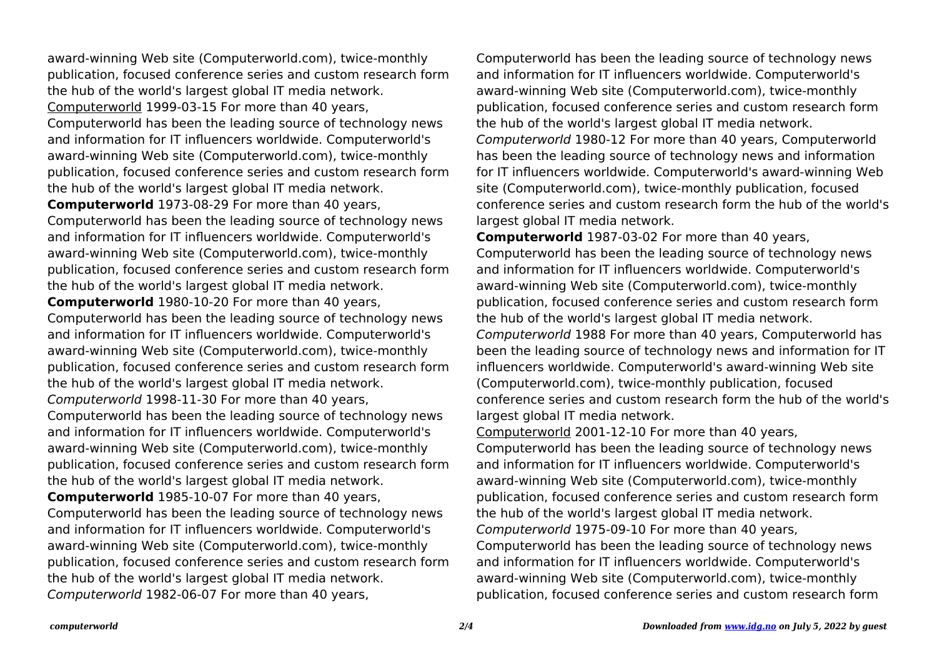award-winning Web site (Computerworld.com), twice-monthly publication, focused conference series and custom research form the hub of the world's largest global IT media network. Computerworld 1999-03-15 For more than 40 years, Computerworld has been the leading source of technology news and information for IT influencers worldwide. Computerworld's award-winning Web site (Computerworld.com), twice-monthly publication, focused conference series and custom research form the hub of the world's largest global IT media network. **Computerworld** 1973-08-29 For more than 40 years, Computerworld has been the leading source of technology news and information for IT influencers worldwide. Computerworld's award-winning Web site (Computerworld.com), twice-monthly publication, focused conference series and custom research form the hub of the world's largest global IT media network. **Computerworld** 1980-10-20 For more than 40 years, Computerworld has been the leading source of technology news and information for IT influencers worldwide. Computerworld's award-winning Web site (Computerworld.com), twice-monthly publication, focused conference series and custom research form the hub of the world's largest global IT media network. Computerworld 1998-11-30 For more than 40 years, Computerworld has been the leading source of technology news and information for IT influencers worldwide. Computerworld's award-winning Web site (Computerworld.com), twice-monthly publication, focused conference series and custom research form the hub of the world's largest global IT media network. **Computerworld** 1985-10-07 For more than 40 years, Computerworld has been the leading source of technology news and information for IT influencers worldwide. Computerworld's award-winning Web site (Computerworld.com), twice-monthly publication, focused conference series and custom research form the hub of the world's largest global IT media network. Computerworld 1982-06-07 For more than 40 years,

Computerworld has been the leading source of technology news and information for IT influencers worldwide. Computerworld's award-winning Web site (Computerworld.com), twice-monthly publication, focused conference series and custom research form the hub of the world's largest global IT media network. Computerworld 1980-12 For more than 40 years, Computerworld has been the leading source of technology news and information for IT influencers worldwide. Computerworld's award-winning Web site (Computerworld.com), twice-monthly publication, focused conference series and custom research form the hub of the world's largest global IT media network.

**Computerworld** 1987-03-02 For more than 40 years, Computerworld has been the leading source of technology news and information for IT influencers worldwide. Computerworld's award-winning Web site (Computerworld.com), twice-monthly publication, focused conference series and custom research form the hub of the world's largest global IT media network. Computerworld 1988 For more than 40 years, Computerworld has been the leading source of technology news and information for IT influencers worldwide. Computerworld's award-winning Web site (Computerworld.com), twice-monthly publication, focused conference series and custom research form the hub of the world's largest global IT media network.

Computerworld 2001-12-10 For more than 40 years, Computerworld has been the leading source of technology news and information for IT influencers worldwide. Computerworld's award-winning Web site (Computerworld.com), twice-monthly publication, focused conference series and custom research form the hub of the world's largest global IT media network. Computerworld 1975-09-10 For more than 40 years, Computerworld has been the leading source of technology news and information for IT influencers worldwide. Computerworld's award-winning Web site (Computerworld.com), twice-monthly publication, focused conference series and custom research form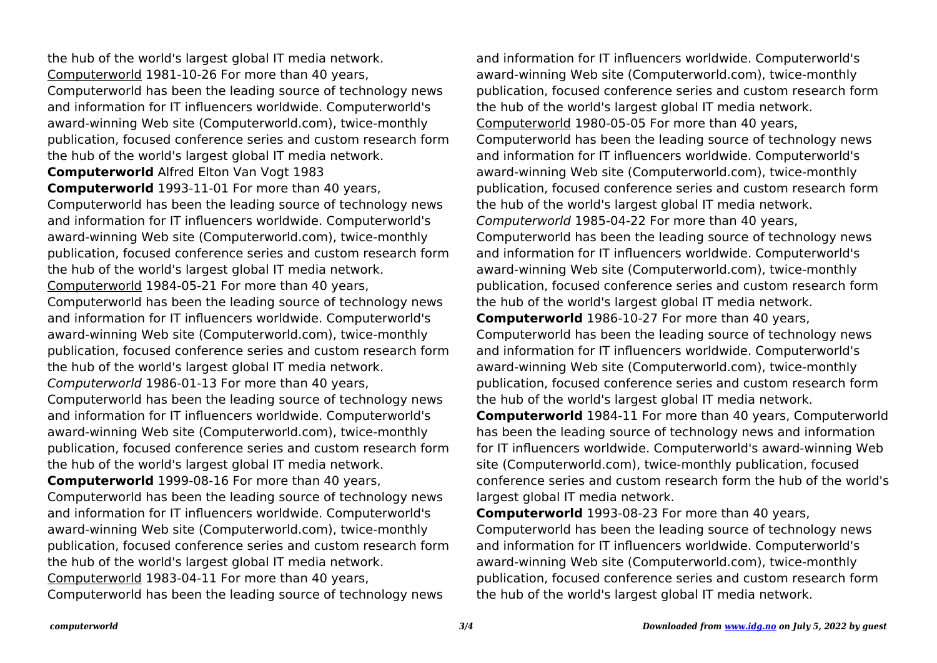the hub of the world's largest global IT media network. Computerworld 1981-10-26 For more than 40 years, Computerworld has been the leading source of technology news and information for IT influencers worldwide. Computerworld's award-winning Web site (Computerworld.com), twice-monthly publication, focused conference series and custom research form the hub of the world's largest global IT media network. **Computerworld** Alfred Elton Van Vogt 1983 **Computerworld** 1993-11-01 For more than 40 years, Computerworld has been the leading source of technology news and information for IT influencers worldwide. Computerworld's award-winning Web site (Computerworld.com), twice-monthly publication, focused conference series and custom research form the hub of the world's largest global IT media network. Computerworld 1984-05-21 For more than 40 years, Computerworld has been the leading source of technology news and information for IT influencers worldwide. Computerworld's award-winning Web site (Computerworld.com), twice-monthly publication, focused conference series and custom research form the hub of the world's largest global IT media network. Computerworld 1986-01-13 For more than 40 years, Computerworld has been the leading source of technology news and information for IT influencers worldwide. Computerworld's award-winning Web site (Computerworld.com), twice-monthly publication, focused conference series and custom research form the hub of the world's largest global IT media network. **Computerworld** 1999-08-16 For more than 40 years, Computerworld has been the leading source of technology news and information for IT influencers worldwide. Computerworld's award-winning Web site (Computerworld.com), twice-monthly publication, focused conference series and custom research form the hub of the world's largest global IT media network. Computerworld 1983-04-11 For more than 40 years, Computerworld has been the leading source of technology news

and information for IT influencers worldwide. Computerworld's award-winning Web site (Computerworld.com), twice-monthly publication, focused conference series and custom research form the hub of the world's largest global IT media network. Computerworld 1980-05-05 For more than 40 years, Computerworld has been the leading source of technology news and information for IT influencers worldwide. Computerworld's award-winning Web site (Computerworld.com), twice-monthly publication, focused conference series and custom research form the hub of the world's largest global IT media network. Computerworld 1985-04-22 For more than 40 years, Computerworld has been the leading source of technology news and information for IT influencers worldwide. Computerworld's award-winning Web site (Computerworld.com), twice-monthly publication, focused conference series and custom research form the hub of the world's largest global IT media network. **Computerworld** 1986-10-27 For more than 40 years, Computerworld has been the leading source of technology news and information for IT influencers worldwide. Computerworld's award-winning Web site (Computerworld.com), twice-monthly publication, focused conference series and custom research form the hub of the world's largest global IT media network. **Computerworld** 1984-11 For more than 40 years, Computerworld has been the leading source of technology news and information for IT influencers worldwide. Computerworld's award-winning Web site (Computerworld.com), twice-monthly publication, focused conference series and custom research form the hub of the world's largest global IT media network.

**Computerworld** 1993-08-23 For more than 40 years, Computerworld has been the leading source of technology news and information for IT influencers worldwide. Computerworld's award-winning Web site (Computerworld.com), twice-monthly publication, focused conference series and custom research form the hub of the world's largest global IT media network.